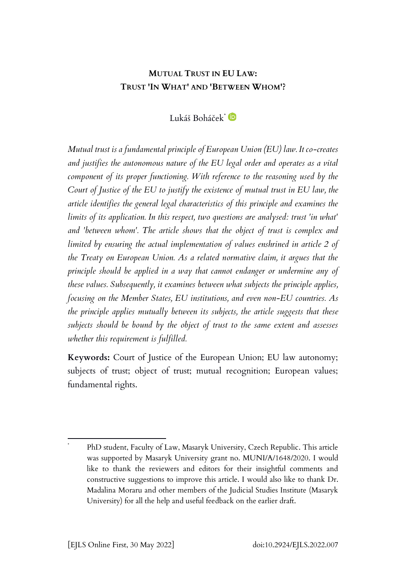# **MUTUAL TRUST IN EU LAW: TRUST 'IN WHAT' AND 'BETWEEN WHOM'?**

Lukáš Boháček\*

*Mutual trust is a fundamental principle of European Union (EU) law. It co-creates and justifies the autonomous nature of the EU legal order and operates as a vital component of its proper functioning. With reference to the reasoning used by the Court of Justice of the EU to justify the existence of mutual trust in EU law, the article identifies the general legal characteristics of this principle and examines the limits of its application. In this respect, two questions are analysed: trust 'in what' and 'between whom'. The article shows that the object of trust is complex and limited by ensuring the actual implementation of values enshrined in article 2 of the Treaty on European Union. As a related normative claim, it argues that the principle should be applied in a way that cannot endanger or undermine any of these values. Subsequently, it examines between what subjects the principle applies, focusing on the Member States, EU institutions, and even non-EU countries. As the principle applies mutually between its subjects, the article suggests that these subjects should be bound by the object of trust to the same extent and assesses whether this requirement is fulfilled.*

**Keywords:** Court of Justice of the European Union; EU law autonomy; subjects of trust; object of trust; mutual recognition; European values; fundamental rights.

PhD student, Faculty of Law, Masaryk University, Czech Republic. This article was supported by Masaryk University grant no. MUNI/A/1648/2020. I would like to thank the reviewers and editors for their insightful comments and constructive suggestions to improve this article. I would also like to thank Dr. Madalina Moraru and other members of the Judicial Studies Institute (Masaryk University) for all the help and useful feedback on the earlier draft.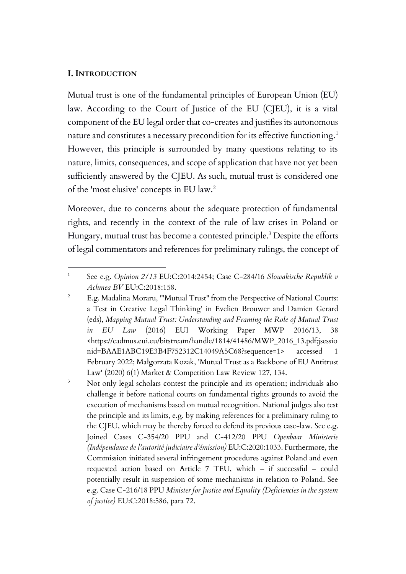#### **I. INTRODUCTION**

Mutual trust is one of the fundamental principles of European Union (EU) law. According to the Court of Justice of the EU (CJEU), it is a vital component of the EU legal order that co-creates and justifies its autonomous nature and constitutes a necessary precondition for its effective functioning.<sup>1</sup> However, this principle is surrounded by many questions relating to its nature, limits, consequences, and scope of application that have not yet been sufficiently answered by the CJEU. As such, mutual trust is considered one of the 'most elusive' concepts in EU law.<sup>2</sup>

Moreover, due to concerns about the adequate protection of fundamental rights, and recently in the context of the rule of law crises in Poland or Hungary, mutual trust has become a contested principle.<sup>3</sup> Despite the efforts of legal commentators and references for preliminary rulings, the concept of

<sup>1</sup> See e.g. *Opinion 2/13* EU:C:2014:2454; Case C-284/16 *Slowakische Republik v Achmea BV* EU:C:2018:158.

<sup>&</sup>lt;sup>2</sup> E.g. Madalina Moraru, "'Mutual Trust" from the Perspective of National Courts: a Test in Creative Legal Thinking' in Evelien Brouwer and Damien Gerard (eds), *Mapping Mutual Trust: Understanding and Framing the Role of Mutual Trust in EU Law* (2016) EUI Working Paper MWP 2016/13, 38 <https://cadmus.eui.eu/bitstream/handle/1814/41486/MWP\_2016\_13.pdf;jsessio nid=BAAE1ABC19E3B4F752312C14049A5C68?sequence=1> accessed 1 February 2022; Małgorzata Kozak, 'Mutual Trust as a Backbone of EU Antitrust Law' (2020) 6(1) Market & Competition Law Review 127, 134.

<sup>&</sup>lt;sup>3</sup> Not only legal scholars contest the principle and its operation; individuals also challenge it before national courts on fundamental rights grounds to avoid the execution of mechanisms based on mutual recognition. National judges also test the principle and its limits, e.g. by making references for a preliminary ruling to the CJEU, which may be thereby forced to defend its previous case-law. See e.g. Joined Cases C-354/20 PPU and C-412/20 PPU *Openbaar Ministerie (Indépendance de l'autorité judiciaire d'émission)* EU:C:2020:1033. Furthermore, the Commission initiated several infringement procedures against Poland and even requested action based on Article 7 TEU, which – if successful – could potentially result in suspension of some mechanisms in relation to Poland. See e.g. Case C-216/18 PPU *Minister for Justice and Equality (Deficiencies in the system of justice)* EU:C:2018:586, para 72.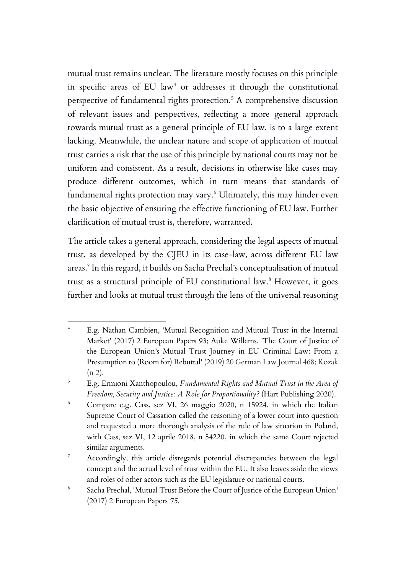mutual trust remains unclear. The literature mostly focuses on this principle in specific areas of EU  $law<sup>4</sup>$  or addresses it through the constitutional perspective of fundamental rights protection.<sup>5</sup> A comprehensive discussion of relevant issues and perspectives, reflecting a more general approach towards mutual trust as a general principle of EU law, is to a large extent lacking. Meanwhile, the unclear nature and scope of application of mutual trust carries a risk that the use of this principle by national courts may not be uniform and consistent. As a result, decisions in otherwise like cases may produce different outcomes, which in turn means that standards of fundamental rights protection may vary.<sup>6</sup> Ultimately, this may hinder even the basic objective of ensuring the effective functioning of EU law. Further clarification of mutual trust is, therefore, warranted.

The article takes a general approach, considering the legal aspects of mutual trust, as developed by the CJEU in its case-law, across different EU law areas. 7 In this regard, it builds on Sacha Prechal's conceptualisation of mutual trust as a structural principle of EU constitutional law.<sup>8</sup> However, it goes further and looks at mutual trust through the lens of the universal reasoning

E.g. Nathan Cambien, 'Mutual Recognition and Mutual Trust in the Internal Market' (2017) 2 European Papers 93; Auke Willems, 'The Court of Justice of the European Union's Mutual Trust Journey in EU Criminal Law: From a Presumption to (Room for) Rebuttal' (2019) 20 German Law Journal 468; Kozak  $(n 2)$ .

<sup>5</sup> E.g. Ermioni Xanthopoulou, *Fundamental Rights and Mutual Trust in the Area of Freedom, Security and Justice: A Role for Proportionality?* (Hart Publishing 2020).

<sup>6</sup> Compare e.g. Cass, sez VI, 26 maggio 2020, n 15924, in which the Italian Supreme Court of Cassation called the reasoning of a lower court into question and requested a more thorough analysis of the rule of law situation in Poland, with Cass, sez VI, 12 aprile 2018, n 54220, in which the same Court rejected similar arguments.

<sup>&</sup>lt;sup>7</sup> Accordingly, this article disregards potential discrepancies between the legal concept and the actual level of trust within the EU. It also leaves aside the views and roles of other actors such as the EU legislature or national courts.

<sup>8</sup> Sacha Prechal, 'Mutual Trust Before the Court of Justice of the European Union' (2017) 2 European Papers *75*.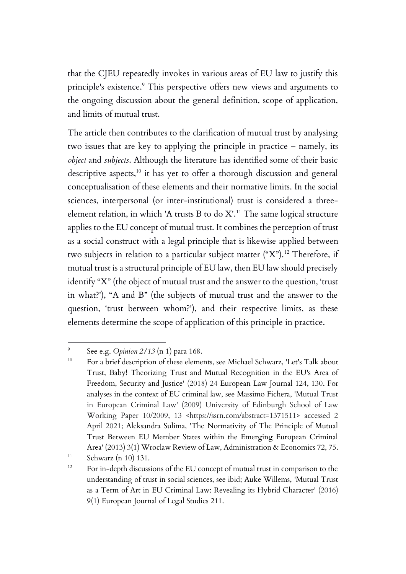that the CJEU repeatedly invokes in various areas of EU law to justify this principle's existence.<sup>9</sup> This perspective offers new views and arguments to the ongoing discussion about the general definition, scope of application, and limits of mutual trust.

The article then contributes to the clarification of mutual trust by analysing two issues that are key to applying the principle in practice – namely, its *object* and *subjects*. Although the literature has identified some of their basic descriptive aspects,<sup>10</sup> it has yet to offer a thorough discussion and general conceptualisation of these elements and their normative limits. In the social sciences, interpersonal (or inter-institutional) trust is considered a threeelement relation, in which 'A trusts B to do  $X$ '.<sup>11</sup> The same logical structure applies to the EU concept of mutual trust. It combines the perception of trust as a social construct with a legal principle that is likewise applied between two subjects in relation to a particular subject matter  $({}^{\omega}X)^{12}$  Therefore, if mutual trust is a structural principle of EU law, then EU law should precisely identify "X" (the object of mutual trust and the answer to the question, 'trust in what?'), "A and B" (the subjects of mutual trust and the answer to the question, 'trust between whom?'), and their respective limits, as these elements determine the scope of application of this principle in practice.

 $\circ$ See e.g. *Opinion 2/13* (n 1) para 168.

<sup>&</sup>lt;sup>10</sup> For a brief description of these elements, see Michael Schwarz, 'Let's Talk about Trust, Baby! Theorizing Trust and Mutual Recognition in the EU's Area of Freedom, Security and Justice' (2018) 24 European Law Journal 124, 130. For analyses in the context of EU criminal law, see Massimo Fichera, 'Mutual Trust in European Criminal Law' (2009) University of Edinburgh School of Law Working Paper 10/2009, 13 <https://ssrn.com/abstract=1371511> accessed 2 April 2021; Aleksandra Sulima, 'The Normativity of The Principle of Mutual Trust Between EU Member States within the Emerging European Criminal Area' (2013) 3(1) Wroclaw Review of Law, Administration & Economics 72, 75.

 $11$  Schwarz (n 10) 131.

<sup>&</sup>lt;sup>12</sup> For in-depth discussions of the EU concept of mutual trust in comparison to the understanding of trust in social sciences, see ibid; Auke Willems, 'Mutual Trust as a Term of Art in EU Criminal Law: Revealing its Hybrid Character' (2016) 9(1) European Journal of Legal Studies 211.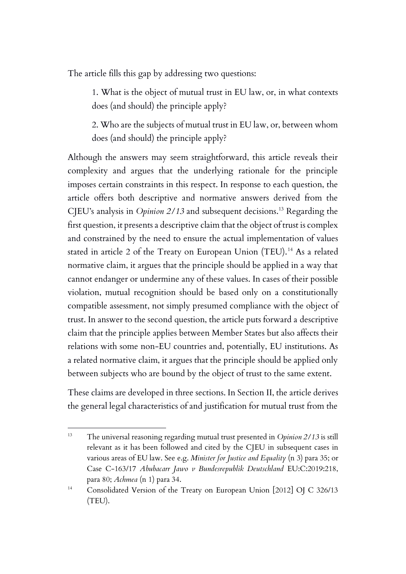The article fills this gap by addressing two questions:

1. What is the object of mutual trust in EU law, or, in what contexts does (and should) the principle apply?

2. Who are the subjects of mutual trust in EU law, or, between whom does (and should) the principle apply?

Although the answers may seem straightforward, this article reveals their complexity and argues that the underlying rationale for the principle imposes certain constraints in this respect. In response to each question, the article offers both descriptive and normative answers derived from the CJEU's analysis in *Opinion 2/13* and subsequent decisions.<sup>13</sup> Regarding the first question, it presents a descriptive claim that the object of trust is complex and constrained by the need to ensure the actual implementation of values stated in article 2 of the Treaty on European Union (TEU).<sup>14</sup> As a related normative claim, it argues that the principle should be applied in a way that cannot endanger or undermine any of these values. In cases of their possible violation, mutual recognition should be based only on a constitutionally compatible assessment, not simply presumed compliance with the object of trust. In answer to the second question, the article puts forward a descriptive claim that the principle applies between Member States but also affects their relations with some non-EU countries and, potentially, EU institutions. As a related normative claim, it argues that the principle should be applied only between subjects who are bound by the object of trust to the same extent.

These claims are developed in three sections. In Section II, the article derives the general legal characteristics of and justification for mutual trust from the

<sup>13</sup> The universal reasoning regarding mutual trust presented in *Opinion 2/13* is still relevant as it has been followed and cited by the CJEU in subsequent cases in various areas of EU law. See e.g. *Minister for Justice and Equality* (n 3) para 35; or Case C-163/17 *Abubacarr Jawo v Bundesrepublik Deutschland* EU:C:2019:218, para 80; *Achmea* (n 1) para 34.

<sup>&</sup>lt;sup>14</sup> Consolidated Version of the Treaty on European Union [2012] OJ C 326/13 (TEU).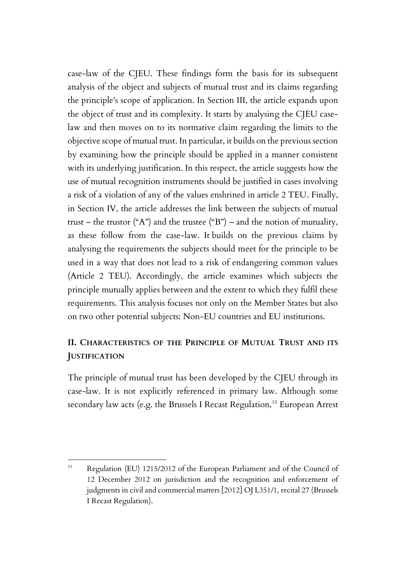case-law of the CJEU. These findings form the basis for its subsequent analysis of the object and subjects of mutual trust and its claims regarding the principle's scope of application. In Section III, the article expands upon the object of trust and its complexity. It starts by analysing the CJEU caselaw and then moves on to its normative claim regarding the limits to the objective scope of mutual trust. In particular, it builds on the previous section by examining how the principle should be applied in a manner consistent with its underlying justification. In this respect, the article suggests how the use of mutual recognition instruments should be justified in cases involving a risk of a violation of any of the values enshrined in article 2 TEU. Finally, in Section IV, the article addresses the link between the subjects of mutual trust – the trustor ("A") and the trustee ("B") – and the notion of mutuality, as these follow from the case-law. It builds on the previous claims by analysing the requirements the subjects should meet for the principle to be used in a way that does not lead to a risk of endangering common values (Article 2 TEU). Accordingly, the article examines which subjects the principle mutually applies between and the extent to which they fulfil these requirements. This analysis focuses not only on the Member States but also on two other potential subjects: Non-EU countries and EU institutions.

# **II. CHARACTERISTICS OF THE PRINCIPLE OF MUTUAL TRUST AND ITS JUSTIFICATION**

The principle of mutual trust has been developed by the CJEU through its case-law. It is not explicitly referenced in primary law. Although some secondary law acts (e.g. the Brussels I Recast Regulation,<sup>15</sup> European Arrest

<sup>15</sup> Regulation (EU) 1215/2012 of the European Parliament and of the Council of 12 December 2012 on jurisdiction and the recognition and enforcement of judgments in civil and commercial matters [2012] OJ L351/1, recital 27 (Brussels I Recast Regulation).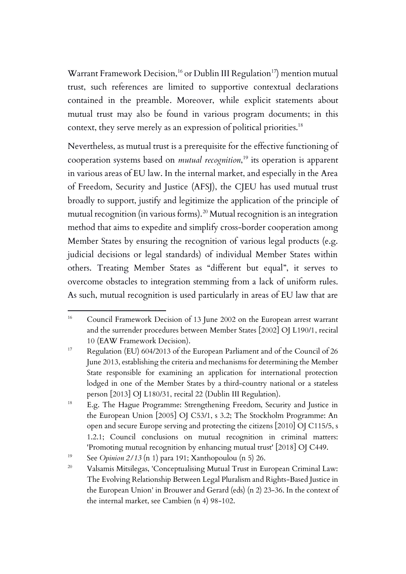Warrant Framework Decision,<sup>16</sup> or Dublin III Regulation<sup>17</sup>) mention mutual trust, such references are limited to supportive contextual declarations contained in the preamble. Moreover, while explicit statements about mutual trust may also be found in various program documents; in this context, they serve merely as an expression of political priorities. 18

Nevertheless, as mutual trust is a prerequisite for the effective functioning of cooperation systems based on *mutual recognition*, <sup>19</sup> its operation is apparent in various areas of EU law. In the internal market, and especially in the Area of Freedom, Security and Justice (AFSJ), the CJEU has used mutual trust broadly to support, justify and legitimize the application of the principle of mutual recognition (in various forms).<sup>20</sup> Mutual recognition is an integration method that aims to expedite and simplify cross-border cooperation among Member States by ensuring the recognition of various legal products (e.g. judicial decisions or legal standards) of individual Member States within others. Treating Member States as "different but equal", it serves to overcome obstacles to integration stemming from a lack of uniform rules. As such, mutual recognition is used particularly in areas of EU law that are

<sup>&</sup>lt;sup>16</sup> Council Framework Decision of 13 June 2002 on the European arrest warrant and the surrender procedures between Member States [2002] OJ L190/1, recital 10 (EAW Framework Decision).

<sup>&</sup>lt;sup>17</sup> Regulation (EU) 604/2013 of the European Parliament and of the Council of 26 June 2013, establishing the criteria and mechanisms for determining the Member State responsible for examining an application for international protection lodged in one of the Member States by a third-country national or a stateless person [2013] OJ L180/31, recital 22 (Dublin III Regulation).

<sup>&</sup>lt;sup>18</sup> E.g. The Hague Programme: Strengthening Freedom, Security and Justice in the European Union [2005] OJ C53/1, s 3.2; The Stockholm Programme: An open and secure Europe serving and protecting the citizens [2010] OJ C115/5, s 1.2.1; Council conclusions on mutual recognition in criminal matters: 'Promoting mutual recognition by enhancing mutual trust' [2018] OJ C449.

<sup>&</sup>lt;sup>19</sup> See *Opinion 2/13* (n 1) para 191; Xanthopoulou (n 5) 26.

<sup>&</sup>lt;sup>20</sup> Valsamis Mitsilegas, 'Conceptualising Mutual Trust in European Criminal Law: The Evolving Relationship Between Legal Pluralism and Rights-Based Justice in the European Union' in Brouwer and Gerard (eds) (n 2) 23-36. In the context of the internal market, see Cambien (n 4) 98-102.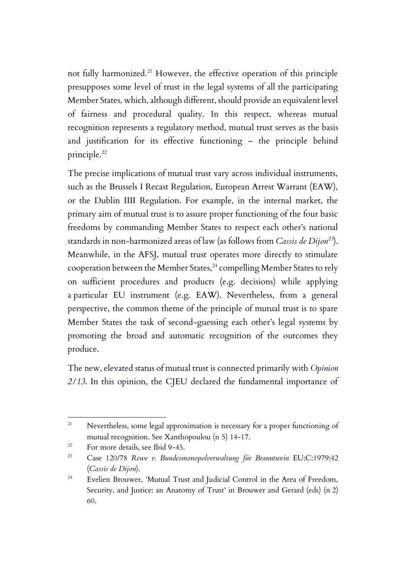not fully harmonized.<sup>21</sup> However, the effective operation of this principle presupposes some level of trust in the legal systems of all the participating Member States, which, although different, should provide an equivalent level of fairness and procedural quality. In this respect, whereas mutual recognition represents a regulatory method, mutual trust serves as the basis and justification for its effective functioning – the principle behind principle.<sup>22</sup>

The precise implications of mutual trust vary across individual instruments, such as the Brussels I Recast Regulation, European Arrest Warrant (EAW), or the Dublin IIII Regulation. For example, in the internal market, the primary aim of mutual trust is to assure proper functioning of the four basic freedoms by commanding Member States to respect each other's national standards in non-harmonized areas of law (as follows from *Cassis de Dijon<sup>23</sup>*). Meanwhile, in the AFSJ, mutual trust operates more directly to stimulate cooperation between the Member States,<sup>24</sup> compelling Member States to rely on sufficient procedures and products (e.g. decisions) while applying a particular EU instrument (e.g. EAW). Nevertheless, from a general perspective, the common theme of the principle of mutual trust is to spare Member States the task of second-guessing each other's legal systems by promoting the broad and automatic recognition of the outcomes they produce.

The new, elevated status of mutual trust is connected primarily with *Opinion 2/13*. In this opinion, the CJEU declared the fundamental importance of

<sup>&</sup>lt;sup>21</sup> Nevertheless, some legal approximation is necessary for a proper functioning of mutual recognition. See Xanthopoulou (n 5) 14-17.

<sup>&</sup>lt;sup>22</sup> For more details, see Ibid 9-45.

<sup>23</sup> Case 120/78 *Rewe v. Bundesmonopolverwaltung für Branntwein* EU:C:1979:42 (*Cassis de Dijon*).

<sup>&</sup>lt;sup>24</sup> Evelien Brouwer, 'Mutual Trust and Judicial Control in the Area of Freedom, Security, and Justice: an Anatomy of Trust' in Brouwer and Gerard (eds) (n 2) 60.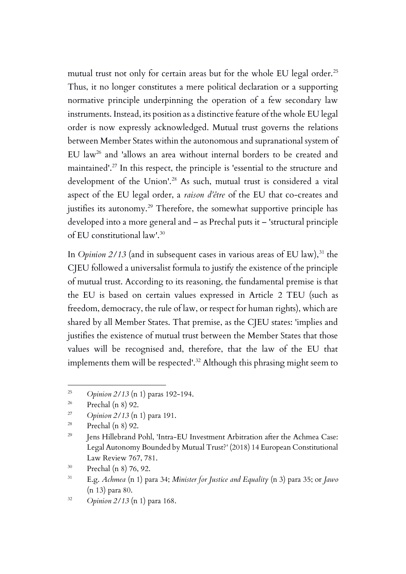mutual trust not only for certain areas but for the whole EU legal order.<sup>25</sup> Thus, it no longer constitutes a mere political declaration or a supporting normative principle underpinning the operation of a few secondary law instruments. Instead, its position as a distinctive feature of the whole EU legal order is now expressly acknowledged. Mutual trust governs the relations between Member States within the autonomous and supranational system of EU law<sup>26</sup> and 'allows an area without internal borders to be created and maintained'.<sup>27</sup> In this respect, the principle is 'essential to the structure and development of the Union'.<sup>28</sup> As such, mutual trust is considered a vital aspect of the EU legal order, a *raison d'être* of the EU that co-creates and justifies its autonomy.<sup>29</sup> Therefore, the somewhat supportive principle has developed into a more general and – as Prechal puts it – 'structural principle of EU constitutional law'.<sup>30</sup>

In *Opinion 2/13* (and in subsequent cases in various areas of EU law),<sup>31</sup> the CJEU followed a universalist formula to justify the existence of the principle of mutual trust. According to its reasoning, the fundamental premise is that the EU is based on certain values expressed in Article 2 TEU (such as freedom, democracy, the rule of law, or respect for human rights), which are shared by all Member States. That premise, as the CJEU states: 'implies and justifies the existence of mutual trust between the Member States that those values will be recognised and, therefore, that the law of the EU that implements them will be respected'.<sup>32</sup> Although this phrasing might seem to

<sup>25</sup> *Opinion 2/13* (n 1) paras 192-194.

 $26$  Prechal (n 8) 92.

<sup>27</sup> *Opinion 2/13* (n 1) para 191.

 $28$  Prechal (n 8) 92.

<sup>&</sup>lt;sup>29</sup> Jens Hillebrand Pohl, 'Intra-EU Investment Arbitration after the Achmea Case: Legal Autonomy Bounded by Mutual Trust?' (2018) 14 European Constitutional Law Review 767, 781.

<sup>30</sup> Prechal (n 8) 76, 92.

<sup>31</sup> E.g. *Achmea* (n 1) para 34; *Minister for Justice and Equality* (n 3) para 35; or *Jawo* (n 13) para 80.

<sup>32</sup> *Opinion 2/13* (n 1) para 168.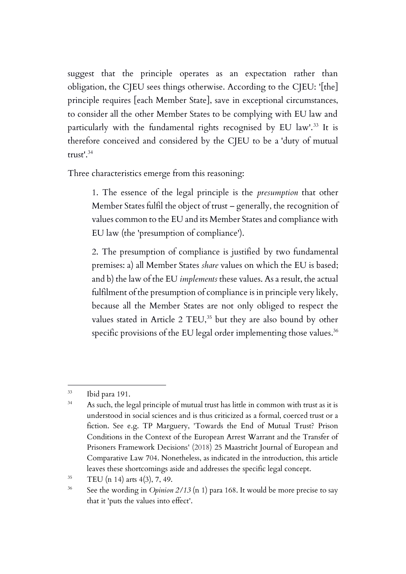suggest that the principle operates as an expectation rather than obligation, the CJEU sees things otherwise. According to the CJEU: '[the] principle requires [each Member State], save in exceptional circumstances, to consider all the other Member States to be complying with EU law and particularly with the fundamental rights recognised by EU law'.<sup>33</sup> It is therefore conceived and considered by the CJEU to be a 'duty of mutual  $t$ rust $^1$ .<sup>34</sup>

Three characteristics emerge from this reasoning:

1. The essence of the legal principle is the *presumption* that other Member States fulfil the object of trust – generally, the recognition of values common to the EU and its Member States and compliance with EU law (the 'presumption of compliance').

2. The presumption of compliance is justified by two fundamental premises: a) all Member States *share* values on which the EU is based; and b) the law of the EU *implements* these values. As a result, the actual fulfilment of the presumption of compliance is in principle very likely, because all the Member States are not only obliged to respect the values stated in Article 2 TEU,<sup>35</sup> but they are also bound by other specific provisions of the EU legal order implementing those values. $^{\rm 36}$ 

<sup>33</sup> Ibid para 191.

<sup>&</sup>lt;sup>34</sup> As such, the legal principle of mutual trust has little in common with trust as it is understood in social sciences and is thus criticized as a formal, coerced trust or a fiction. See e.g. TP Marguery, 'Towards the End of Mutual Trust? Prison Conditions in the Context of the European Arrest Warrant and the Transfer of Prisoners Framework Decisions' (2018) 25 Maastricht Journal of European and Comparative Law 704. Nonetheless, as indicated in the introduction, this article leaves these shortcomings aside and addresses the specific legal concept.

 $35$  TEU (n 14) arts 4(3), 7, 49.

<sup>&</sup>lt;sup>36</sup> See the wording in *Opinion 2/13* (n 1) para 168. It would be more precise to say that it 'puts the values into effect'.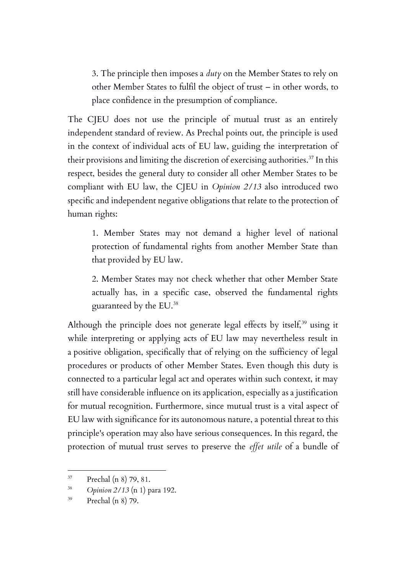3. The principle then imposes a *duty* on the Member States to rely on other Member States to fulfil the object of trust – in other words, to place confidence in the presumption of compliance.

The CJEU does not use the principle of mutual trust as an entirely independent standard of review. As Prechal points out, the principle is used in the context of individual acts of EU law, guiding the interpretation of their provisions and limiting the discretion of exercising authorities.<sup>37</sup> In this respect, besides the general duty to consider all other Member States to be compliant with EU law, the CJEU in *Opinion 2/13* also introduced two specific and independent negative obligations that relate to the protection of human rights:

1. Member States may not demand a higher level of national protection of fundamental rights from another Member State than that provided by EU law.

2. Member States may not check whether that other Member State actually has, in a specific case, observed the fundamental rights guaranteed by the EU.<sup>38</sup>

Although the principle does not generate legal effects by itself,  $39$  using it while interpreting or applying acts of EU law may nevertheless result in a positive obligation, specifically that of relying on the sufficiency of legal procedures or products of other Member States. Even though this duty is connected to a particular legal act and operates within such context, it may still have considerable influence on its application, especially as a justification for mutual recognition. Furthermore, since mutual trust is a vital aspect of EU law with significance for its autonomous nature, a potential threat to this principle's operation may also have serious consequences. In this regard, the protection of mutual trust serves to preserve the *effet utile* of a bundle of

<sup>37</sup> Prechal (n 8) 79, 81.

<sup>38</sup> *Opinion 2/13* (n 1) para 192.

<sup>39</sup> Prechal (n 8) 79.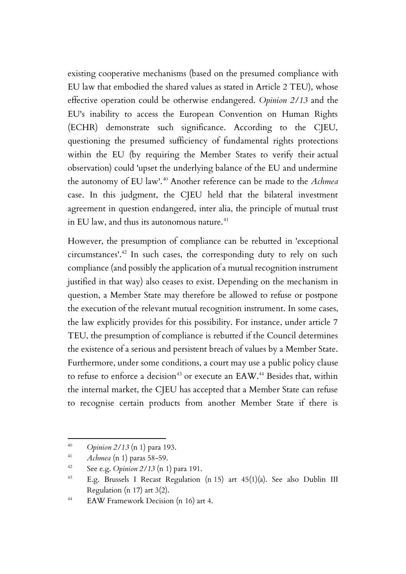existing cooperative mechanisms (based on the presumed compliance with EU law that embodied the shared values as stated in Article 2 TEU), whose effective operation could be otherwise endangered. *Opinion 2/13* and the EU's inability to access the European Convention on Human Rights (ECHR) demonstrate such significance. According to the CJEU, questioning the presumed sufficiency of fundamental rights protections within the EU (by requiring the Member States to verify their actual observation) could 'upset the underlying balance of the EU and undermine the autonomy of EU law'.<sup>40</sup> Another reference can be made to the *Achmea* case. In this judgment, the CJEU held that the bilateral investment agreement in question endangered, inter alia, the principle of mutual trust in EU law, and thus its autonomous nature. $41$ 

However, the presumption of compliance can be rebutted in 'exceptional circumstances'.<sup>42</sup> In such cases, the corresponding duty to rely on such compliance (and possibly the application of a mutual recognition instrument justified in that way) also ceases to exist. Depending on the mechanism in question, a Member State may therefore be allowed to refuse or postpone the execution of the relevant mutual recognition instrument. In some cases, the law explicitly provides for this possibility. For instance, under article 7 TEU, the presumption of compliance is rebutted if the Council determines the existence of a serious and persistent breach of values by a Member State. Furthermore, under some conditions, a court may use a public policy clause to refuse to enforce a decision<sup>43</sup> or execute an EAW.<sup>44</sup> Besides that, within the internal market, the CJEU has accepted that a Member State can refuse to recognise certain products from another Member State if there is

<sup>40</sup> *Opinion 2/13* (n 1) para 193.

<sup>41</sup> *Achmea* (n 1) paras 58-59.

<sup>42</sup> See e.g. *Opinion 2/13* (n 1) para 191.

<sup>43</sup> E.g. Brussels I Recast Regulation (n 15) art 45(1)(a). See also Dublin III Regulation (n 17) art 3(2).

<sup>44</sup> EAW Framework Decision (n 16) art 4.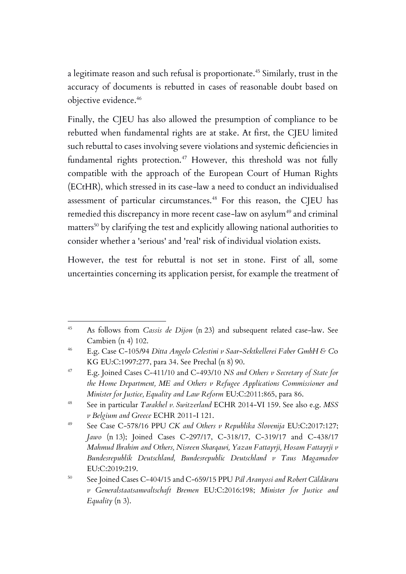a legitimate reason and such refusal is proportionate.<sup>45</sup> Similarly, trust in the accuracy of documents is rebutted in cases of reasonable doubt based on objective evidence.<sup>46</sup>

Finally, the CJEU has also allowed the presumption of compliance to be rebutted when fundamental rights are at stake. At first, the CJEU limited such rebuttal to cases involving severe violations and systemic deficiencies in fundamental rights protection.<sup>47</sup> However, this threshold was not fully compatible with the approach of the European Court of Human Rights (ECtHR), which stressed in its case-law a need to conduct an individualised assessment of particular circumstances.<sup>48</sup> For this reason, the CJEU has remedied this discrepancy in more recent case-law on asylum<sup>49</sup> and criminal matters<sup>50</sup> by clarifying the test and explicitly allowing national authorities to consider whether a 'serious' and 'real' risk of individual violation exists.

However, the test for rebuttal is not set in stone. First of all, some uncertainties concerning its application persist, for example the treatment of

<sup>45</sup> As follows from *Cassis de Dijon* (n 23) and subsequent related case-law. See Cambien (n 4) 102.

<sup>46</sup> E.g. Case C-105/94 *Ditta Angelo Celestini v Saar-Sektkellerei Faber GmbH & C*o KG EU:C:1997:277, para 34. See Prechal (n 8) 90.

<sup>47</sup> E.g. Joined Cases C-411/10 and C-493/10 *NS and Others v Secretary of State for the Home Department, ME and Others v Refugee Applications Commissioner and Minister for Justice, Equality and Law Reform* EU:C:2011:865, para 86.

<sup>48</sup> See in particular *Tarakhel v. Switzerland* ECHR 2014-VI 159. See also e.g. *MSS v Belgium and Greece* ECHR 2011-I 121.

<sup>49</sup> See Case C-578/16 PPU *CK and Others v Republika Slovenija* EU:C:2017:127; *Jawo* (n 13); Joined Cases C-297/17, C-318/17, C-319/17 and C-438/17 *Mahmud Ibrahim and Others, Nisreen Sharqawi, Yazan Fattayrji, Hosam Fattayrji v Bundesrepublik Deutschland, Bundesrepublic Deutschland v Taus Magamadov* EU:C:2019:219.

<sup>50</sup> See Joined Cases C-404/15 and C-659/15 PPU *Pál Aranyosi and Robert Căldăraru v Generalstaatsanwaltschaft Bremen* EU:C:2016:198; *Minister for Justice and Equality* (n 3).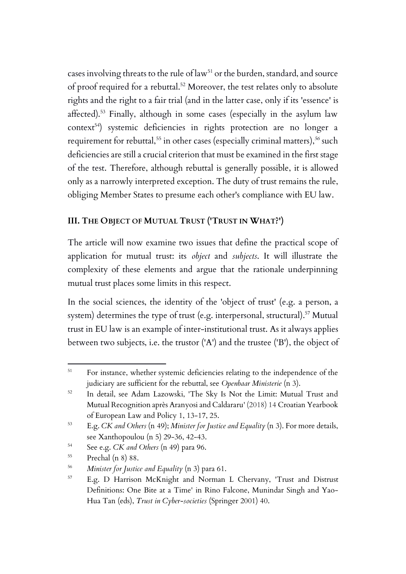cases involving threats to the rule of law<sup>51</sup> or the burden, standard, and source of proof required for a rebuttal.<sup>52</sup> Moreover, the test relates only to absolute rights and the right to a fair trial (and in the latter case, only if its 'essence' is affected).<sup>53</sup> Finally, although in some cases (especially in the asylum law context<sup>54</sup>) systemic deficiencies in rights protection are no longer a requirement for rebuttal,<sup>55</sup> in other cases (especially criminal matters),<sup>56</sup> such deficiencies are still a crucial criterion that must be examined in the first stage of the test. Therefore, although rebuttal is generally possible, it is allowed only as a narrowly interpreted exception. The duty of trust remains the rule, obliging Member States to presume each other's compliance with EU law.

# **III. THE OBJECT OF MUTUAL TRUST ('TRUST IN WHAT?')**

The article will now examine two issues that define the practical scope of application for mutual trust: its *object* and *subjects*. It will illustrate the complexity of these elements and argue that the rationale underpinning mutual trust places some limits in this respect.

In the social sciences, the identity of the 'object of trust' (e.g. a person, a system) determines the type of trust (e.g. interpersonal, structural). <sup>57</sup> Mutual trust in EU law is an example of inter-institutional trust. As it always applies between two subjects, i.e. the trustor ('A') and the trustee ('B'), the object of

<sup>54</sup> See e.g. *CK and Others* (n 49) para 96.

<sup>&</sup>lt;sup>51</sup> For instance, whether systemic deficiencies relating to the independence of the judiciary are sufficient for the rebuttal, see *Openbaar Ministerie* (n 3).

<sup>52</sup> In detail, see Adam Lazowski, 'The Sky Is Not the Limit: Mutual Trust and Mutual Recognition après Aranyosi and Caldararu' (2018) 14 Croatian Yearbook of European Law and Policy 1, 13-17, 25.

<sup>53</sup> E.g. *CK and Others* (n 49); *Minister for Justice and Equality* (n 3). For more details, see Xanthopoulou (n 5) 29-36, 42-43.

<sup>55</sup> Prechal (n 8) 88.

<sup>56</sup> *Minister for Justice and Equality* (n 3) para 61.

<sup>57</sup> E.g. D Harrison McKnight and Norman L Chervany, 'Trust and Distrust Definitions: One Bite at a Time' in Rino Falcone, Munindar Singh and Yao-Hua Tan (eds), *Trust in Cyber-societies* (Springer 2001) 40.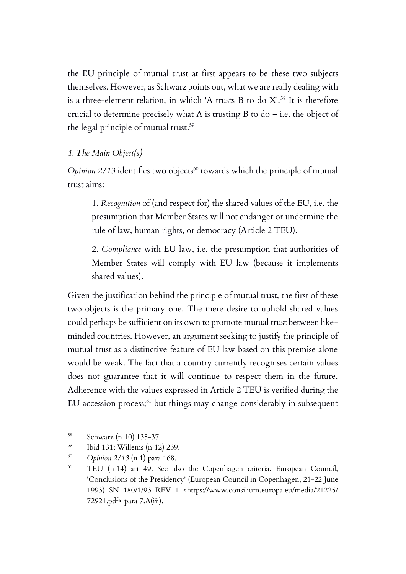the EU principle of mutual trust at first appears to be these two subjects themselves. However, as Schwarz points out, what we are really dealing with is a three-element relation, in which 'A trusts B to do  $X^{\prime}$ .<sup>58</sup> It is therefore crucial to determine precisely what A is trusting B to  $d_0$  – i.e. the object of the legal principle of mutual trust. 59

### *1. The Main Object(s)*

*Opinion 2/13* identifies two objects<sup>60</sup> towards which the principle of mutual trust aims:

1. *Recognition* of (and respect for) the shared values of the EU, i.e. the presumption that Member States will not endanger or undermine the rule of law, human rights, or democracy (Article 2 TEU).

2. *Compliance* with EU law, i.e. the presumption that authorities of Member States will comply with EU law (because it implements shared values).

Given the justification behind the principle of mutual trust, the first of these two objects is the primary one. The mere desire to uphold shared values could perhaps be sufficient on its own to promote mutual trust between likeminded countries. However, an argument seeking to justify the principle of mutual trust as a distinctive feature of EU law based on this premise alone would be weak. The fact that a country currently recognises certain values does not guarantee that it will continue to respect them in the future. Adherence with the values expressed in Article 2 TEU is verified during the EU accession process;<sup>61</sup> but things may change considerably in subsequent

<sup>58</sup> Schwarz (n 10) 135-37.

<sup>59</sup> Ibid 131; Willems (n 12) 239.

<sup>60</sup> *Opinion 2/13* (n 1) para 168.

<sup>61</sup> TEU (n 14) art 49. See also the Copenhagen criteria. European Council, 'Conclusions of the Presidency' (European Council in Copenhagen, 21-22 June 1993) SN 180/1/93 REV 1 <https://www.consilium.europa.eu/media/21225/ 72921.pdf> para 7.A(iii).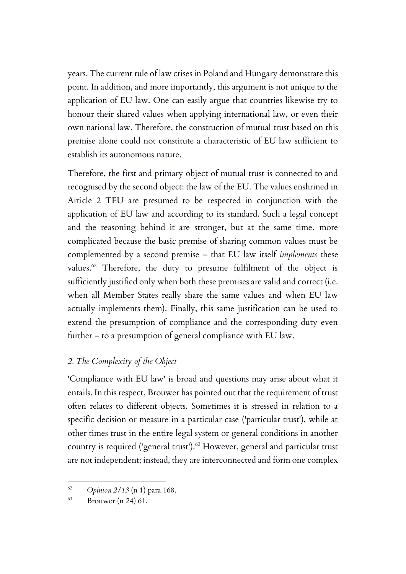years. The current rule of law crises in Poland and Hungary demonstrate this point. In addition, and more importantly, this argument is not unique to the application of EU law. One can easily argue that countries likewise try to honour their shared values when applying international law, or even their own national law. Therefore, the construction of mutual trust based on this premise alone could not constitute a characteristic of EU law sufficient to establish its autonomous nature.

Therefore, the first and primary object of mutual trust is connected to and recognised by the second object: the law of the EU. The values enshrined in Article 2 TEU are presumed to be respected in conjunction with the application of EU law and according to its standard. Such a legal concept and the reasoning behind it are stronger, but at the same time, more complicated because the basic premise of sharing common values must be complemented by a second premise – that EU law itself *implements* these values.<sup>62</sup> Therefore, the duty to presume fulfilment of the object is sufficiently justified only when both these premises are valid and correct (i.e. when all Member States really share the same values and when EU law actually implements them). Finally, this same justification can be used to extend the presumption of compliance and the corresponding duty even further – to a presumption of general compliance with EU law.

## *2. The Complexity of the Object*

'Compliance with EU law' is broad and questions may arise about what it entails. In this respect, Brouwer has pointed out that the requirement of trust often relates to different objects. Sometimes it is stressed in relation to a specific decision or measure in a particular case ('particular trust'), while at other times trust in the entire legal system or general conditions in another country is required ('general trust').<sup>63</sup> However, general and particular trust are not independent; instead, they are interconnected and form one complex

<sup>62</sup> *Opinion 2/13* (n 1) para 168.

 $^{63}$  Brouwer (n 24) 61.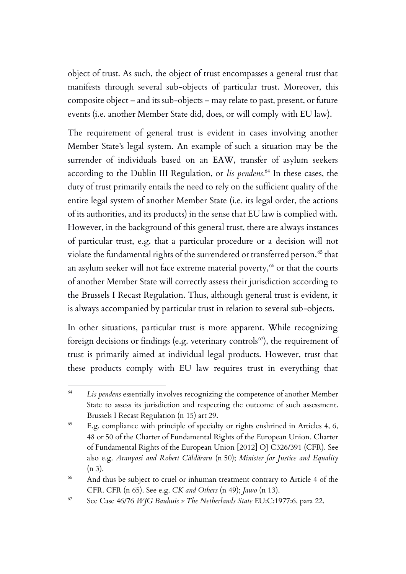object of trust. As such, the object of trust encompasses a general trust that manifests through several sub-objects of particular trust. Moreover, this composite object – and its sub-objects – may relate to past, present, or future events (i.e. another Member State did, does, or will comply with EU law).

The requirement of general trust is evident in cases involving another Member State's legal system. An example of such a situation may be the surrender of individuals based on an EAW, transfer of asylum seekers according to the Dublin III Regulation, or *lis pendens.*<sup>64</sup> In these cases, the duty of trust primarily entails the need to rely on the sufficient quality of the entire legal system of another Member State (i.e. its legal order, the actions of its authorities, and its products) in the sense that EU law is complied with. However, in the background of this general trust, there are always instances of particular trust, e.g. that a particular procedure or a decision will not violate the fundamental rights of the surrendered or transferred person,<sup>65</sup> that an asylum seeker will not face extreme material poverty,<sup>66</sup> or that the courts of another Member State will correctly assess their jurisdiction according to the Brussels I Recast Regulation. Thus, although general trust is evident, it is always accompanied by particular trust in relation to several sub-objects.

In other situations, particular trust is more apparent. While recognizing foreign decisions or findings (e.g. veterinary controls<sup>67</sup>), the requirement of trust is primarily aimed at individual legal products. However, trust that these products comply with EU law requires trust in everything that

<sup>64</sup> *Lis pendens* essentially involves recognizing the competence of another Member State to assess its jurisdiction and respecting the outcome of such assessment. Brussels I Recast Regulation (n 15) art 29.

 $65$  E.g. compliance with principle of specialty or rights enshrined in Articles 4, 6, 48 or 50 of the Charter of Fundamental Rights of the European Union. Charter of Fundamental Rights of the European Union [2012] OJ C326/391 (CFR). See also e.g. *Aranyosi and Robert Căldăraru* (n 50); *Minister for Justice and Equality*  (n 3).

<sup>&</sup>lt;sup>66</sup> And thus be subject to cruel or inhuman treatment contrary to Article 4 of the CFR. CFR (n 65). See e.g. *CK and Others* (n 49); *Jawo* (n 13).

<sup>67</sup> See Case 46/76 *WJG Bauhuis v The Netherlands State* EU:C:1977:6, para 22.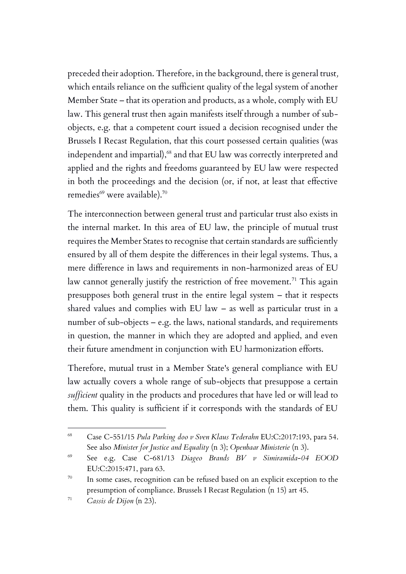preceded their adoption. Therefore, in the background, there is general trust*,* which entails reliance on the sufficient quality of the legal system of another Member State – that its operation and products, as a whole, comply with EU law. This general trust then again manifests itself through a number of subobjects, e.g. that a competent court issued a decision recognised under the Brussels I Recast Regulation, that this court possessed certain qualities (was independent and impartial), <sup>68</sup> and that EU law was correctly interpreted and applied and the rights and freedoms guaranteed by EU law were respected in both the proceedings and the decision (or, if not, at least that effective remedies<sup>69</sup> were available).<sup>70</sup>

The interconnection between general trust and particular trust also exists in the internal market. In this area of EU law, the principle of mutual trust requires the Member States to recognise that certain standards are sufficiently ensured by all of them despite the differences in their legal systems. Thus, a mere difference in laws and requirements in non-harmonized areas of EU law cannot generally justify the restriction of free movement.<sup>71</sup> This again presupposes both general trust in the entire legal system – that it respects shared values and complies with EU law – as well as particular trust in a number of sub-objects – e.g. the laws, national standards, and requirements in question, the manner in which they are adopted and applied, and even their future amendment in conjunction with EU harmonization efforts.

Therefore, mutual trust in a Member State's general compliance with EU law actually covers a whole range of sub-objects that presuppose a certain *sufficient* quality in the products and procedures that have led or will lead to them. This quality is sufficient if it corresponds with the standards of EU

<sup>68</sup> Case C-551/15 *Pula Parking doo v Sven Klaus Tederahn* EU:C:2017:193, para 54. See also *Minister for Justice and Equality* (n 3); *Openbaar Ministerie* (n 3).

<sup>69</sup> See e.g. Case C-681/13 *Diageo Brands BV v Simiramida-04 EOOD* EU:C:2015:471, para 63.

<sup>&</sup>lt;sup>70</sup> In some cases, recognition can be refused based on an explicit exception to the presumption of compliance. Brussels I Recast Regulation (n 15) art 45.

<sup>71</sup> *Cassis de Dijon* (n 23).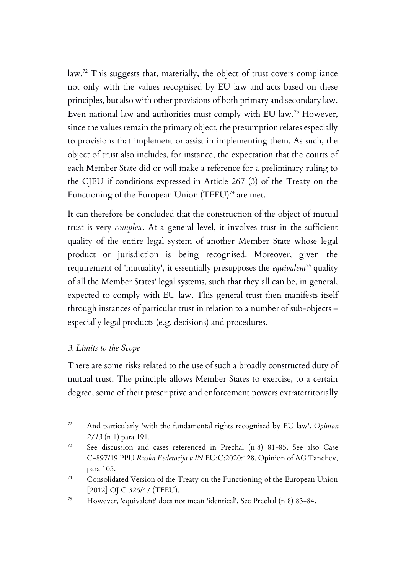law.<sup>72</sup> This suggests that, materially, the object of trust covers compliance not only with the values recognised by EU law and acts based on these principles, but also with other provisions of both primary and secondary law. Even national law and authorities must comply with EU law.<sup>73</sup> However, since the values remain the primary object, the presumption relates especially to provisions that implement or assist in implementing them. As such, the object of trust also includes, for instance, the expectation that the courts of each Member State did or will make a reference for a preliminary ruling to the CJEU if conditions expressed in Article 267 (3) of the Treaty on the Functioning of the European Union  $(TFEU)^{74}$  are met.

It can therefore be concluded that the construction of the object of mutual trust is very *complex*. At a general level, it involves trust in the sufficient quality of the entire legal system of another Member State whose legal product or jurisdiction is being recognised. Moreover, given the requirement of 'mutuality', it essentially presupposes the *equivalent<sup>75</sup>* quality of all the Member States' legal systems, such that they all can be, in general, expected to comply with EU law. This general trust then manifests itself through instances of particular trust in relation to a number of sub-objects – especially legal products (e.g. decisions) and procedures.

### *3. Limits to the Scope*

There are some risks related to the use of such a broadly constructed duty of mutual trust. The principle allows Member States to exercise, to a certain degree, some of their prescriptive and enforcement powers extraterritorially

<sup>72</sup> And particularly 'with the fundamental rights recognised by EU law'. *Opinion 2/13* (n 1) para 191.

<sup>73</sup> See discussion and cases referenced in Prechal (n 8) 81-85. See also Case C‑897/19 PPU *Ruska Federacija v IN* EU:C:2020:128, Opinion of AG Tanchev, para 105.

<sup>74</sup> Consolidated Version of the Treaty on the Functioning of the European Union [2012] OJ C 326/47 (TFEU).

<sup>75</sup> However, 'equivalent' does not mean 'identical'. See Prechal (n 8) 83-84.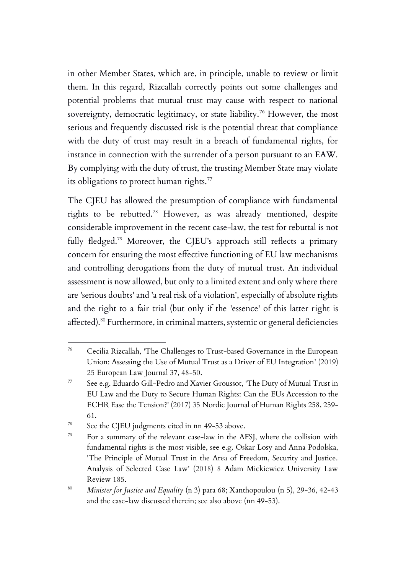in other Member States, which are, in principle, unable to review or limit them. In this regard, Rizcallah correctly points out some challenges and potential problems that mutual trust may cause with respect to national sovereignty, democratic legitimacy, or state liability.<sup>76</sup> However, the most serious and frequently discussed risk is the potential threat that compliance with the duty of trust may result in a breach of fundamental rights, for instance in connection with the surrender of a person pursuant to an EAW. By complying with the duty of trust, the trusting Member State may violate its obligations to protect human rights.<sup>77</sup>

The CJEU has allowed the presumption of compliance with fundamental rights to be rebutted.<sup>78</sup> However, as was already mentioned, despite considerable improvement in the recent case-law, the test for rebuttal is not fully fledged.<sup>79</sup> Moreover, the CJEU's approach still reflects a primary concern for ensuring the most effective functioning of EU law mechanisms and controlling derogations from the duty of mutual trust. An individual assessment is now allowed, but only to a limited extent and only where there are 'serious doubts' and 'a real risk of a violation', especially of absolute rights and the right to a fair trial (but only if the 'essence' of this latter right is affected).<sup>80</sup> Furthermore, in criminal matters, systemic or general deficiencies

<sup>78</sup> See the CJEU judgments cited in nn 49-53 above.

<sup>76</sup> Cecilia Rizcallah, 'The Challenges to Trust-based Governance in the European Union: Assessing the Use of Mutual Trust as a Driver of EU Integration' (2019) 25 European Law Journal 37, 48-50.

 $77$  See e.g. Eduardo Gill-Pedro and Xavier Groussot, 'The Duty of Mutual Trust in EU Law and the Duty to Secure Human Rights: Can the EUs Accession to the ECHR Ease the Tension?' (2017) 35 Nordic Journal of Human Rights 258, 259- 61.

<sup>79</sup> For a summary of the relevant case-law in the AFSJ, where the collision with fundamental rights is the most visible, see e.g. Oskar Losy and Anna Podolska, 'The Principle of Mutual Trust in the Area of Freedom, Security and Justice. Analysis of Selected Case Law' (2018) 8 Adam Mickiewicz University Law Review 185.

<sup>80</sup> *Minister for Justice and Equality* (n 3) para 68; Xanthopoulou (n 5), 29-36, 42-43 and the case-law discussed therein; see also above (nn 49-53).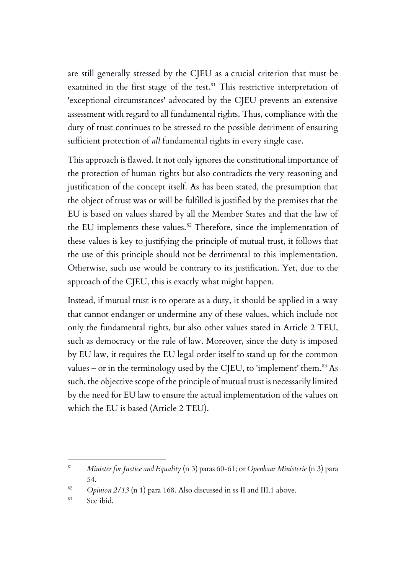are still generally stressed by the CJEU as a crucial criterion that must be examined in the first stage of the test.<sup>81</sup> This restrictive interpretation of 'exceptional circumstances' advocated by the CJEU prevents an extensive assessment with regard to all fundamental rights. Thus, compliance with the duty of trust continues to be stressed to the possible detriment of ensuring sufficient protection of *all* fundamental rights in every single case.

This approach is flawed. It not only ignores the constitutional importance of the protection of human rights but also contradicts the very reasoning and justification of the concept itself. As has been stated, the presumption that the object of trust was or will be fulfilled is justified by the premises that the EU is based on values shared by all the Member States and that the law of the EU implements these values.<sup>82</sup> Therefore, since the implementation of these values is key to justifying the principle of mutual trust, it follows that the use of this principle should not be detrimental to this implementation. Otherwise, such use would be contrary to its justification. Yet, due to the approach of the CJEU, this is exactly what might happen.

Instead, if mutual trust is to operate as a duty, it should be applied in a way that cannot endanger or undermine any of these values, which include not only the fundamental rights, but also other values stated in Article 2 TEU, such as democracy or the rule of law. Moreover, since the duty is imposed by EU law, it requires the EU legal order itself to stand up for the common values – or in the terminology used by the CJEU, to 'implement' them. $^{83}$  As such, the objective scope of the principle of mutual trust is necessarily limited by the need for EU law to ensure the actual implementation of the values on which the EU is based (Article 2 TEU).

<sup>81</sup> *Minister for Justice and Equality* (n 3) paras 60-61; or *Openbaar Ministerie* (n 3) para 54.

<sup>&</sup>lt;sup>82</sup> *Opinion 2/13* (n 1) para 168. Also discussed in ss II and III.1 above.

<sup>83</sup> See ibid.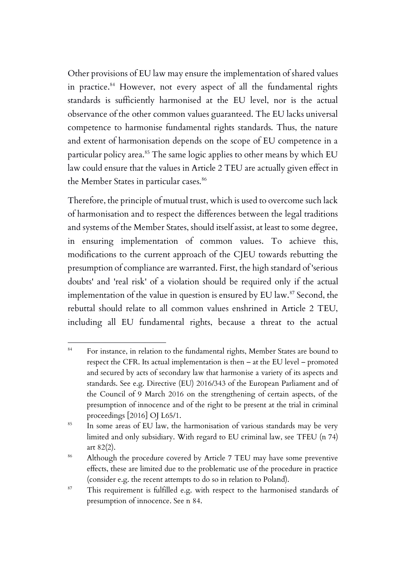Other provisions of EU law may ensure the implementation of shared values in practice.<sup>84</sup> However, not every aspect of all the fundamental rights standards is sufficiently harmonised at the EU level, nor is the actual observance of the other common values guaranteed. The EU lacks universal competence to harmonise fundamental rights standards. Thus, the nature and extent of harmonisation depends on the scope of EU competence in a particular policy area.<sup>85</sup> The same logic applies to other means by which EU law could ensure that the values in Article 2 TEU are actually given effect in the Member States in particular cases.<sup>86</sup>

Therefore, the principle of mutual trust, which is used to overcome such lack of harmonisation and to respect the differences between the legal traditions and systems of the Member States, should itself assist, at least to some degree, in ensuring implementation of common values. To achieve this, modifications to the current approach of the CJEU towards rebutting the presumption of compliance are warranted. First, the high standard of 'serious doubts' and 'real risk' of a violation should be required only if the actual implementation of the value in question is ensured by EU law.<sup>87</sup> Second, the rebuttal should relate to all common values enshrined in Article 2 TEU, including all EU fundamental rights, because a threat to the actual

<sup>84</sup> For instance, in relation to the fundamental rights, Member States are bound to respect the CFR. Its actual implementation is then – at the EU level – promoted and secured by acts of secondary law that harmonise a variety of its aspects and standards. See e.g. Directive (EU) 2016/343 of the European Parliament and of the Council of 9 March 2016 on the strengthening of certain aspects, of the presumption of innocence and of the right to be present at the trial in criminal proceedings [2016] OJ L65/1.

<sup>&</sup>lt;sup>85</sup> In some areas of EU law, the harmonisation of various standards may be very limited and only subsidiary. With regard to EU criminal law, see TFEU (n 74) art 82(2).

<sup>&</sup>lt;sup>86</sup> Although the procedure covered by Article 7 TEU may have some preventive effects, these are limited due to the problematic use of the procedure in practice (consider e.g. the recent attempts to do so in relation to Poland).

<sup>&</sup>lt;sup>87</sup> This requirement is fulfilled e.g. with respect to the harmonised standards of presumption of innocence. See n 84.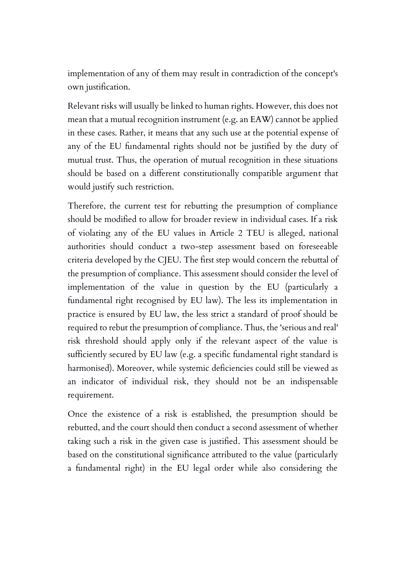implementation of any of them may result in contradiction of the concept's own justification.

Relevant risks will usually be linked to human rights. However, this does not mean that a mutual recognition instrument (e.g. an EAW) cannot be applied in these cases. Rather, it means that any such use at the potential expense of any of the EU fundamental rights should not be justified by the duty of mutual trust. Thus, the operation of mutual recognition in these situations should be based on a different constitutionally compatible argument that would justify such restriction.

Therefore, the current test for rebutting the presumption of compliance should be modified to allow for broader review in individual cases. If a risk of violating any of the EU values in Article 2 TEU is alleged, national authorities should conduct a two-step assessment based on foreseeable criteria developed by the CJEU. The first step would concern the rebuttal of the presumption of compliance. This assessment should consider the level of implementation of the value in question by the EU (particularly a fundamental right recognised by EU law). The less its implementation in practice is ensured by EU law, the less strict a standard of proof should be required to rebut the presumption of compliance. Thus, the 'serious and real' risk threshold should apply only if the relevant aspect of the value is sufficiently secured by EU law (e.g. a specific fundamental right standard is harmonised). Moreover, while systemic deficiencies could still be viewed as an indicator of individual risk, they should not be an indispensable requirement.

Once the existence of a risk is established, the presumption should be rebutted, and the court should then conduct a second assessment of whether taking such a risk in the given case is justified. This assessment should be based on the constitutional significance attributed to the value (particularly a fundamental right) in the EU legal order while also considering the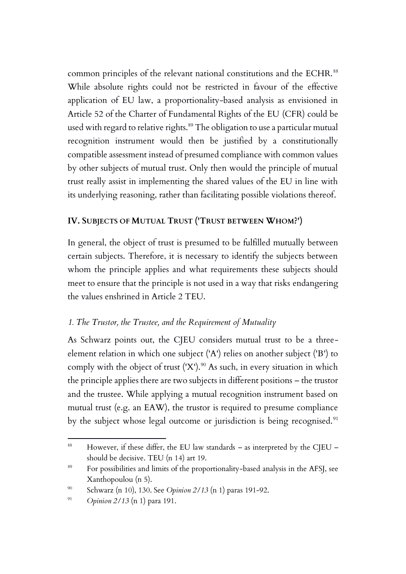common principles of the relevant national constitutions and the ECHR.<sup>88</sup> While absolute rights could not be restricted in favour of the effective application of EU law, a proportionality-based analysis as envisioned in Article 52 of the Charter of Fundamental Rights of the EU (CFR) could be used with regard to relative rights.<sup>89</sup> The obligation to use a particular mutual recognition instrument would then be justified by a constitutionally compatible assessment instead of presumed compliance with common values by other subjects of mutual trust. Only then would the principle of mutual trust really assist in implementing the shared values of the EU in line with its underlying reasoning, rather than facilitating possible violations thereof.

## **IV. SUBJECTS OF MUTUAL TRUST ('TRUST BETWEEN WHOM?')**

In general, the object of trust is presumed to be fulfilled mutually between certain subjects. Therefore, it is necessary to identify the subjects between whom the principle applies and what requirements these subjects should meet to ensure that the principle is not used in a way that risks endangering the values enshrined in Article 2 TEU.

## *1. The Trustor, the Trustee, and the Requirement of Mutuality*

As Schwarz points out, the CJEU considers mutual trust to be a threeelement relation in which one subject ('A') relies on another subject ('B') to comply with the object of trust  $(X')$ .<sup>90</sup> As such, in every situation in which the principle applies there are two subjects in different positions – the trustor and the trustee. While applying a mutual recognition instrument based on mutual trust (e.g. an EAW), the trustor is required to presume compliance by the subject whose legal outcome or jurisdiction is being recognised.<sup>91</sup>

 $88$  However, if these differ, the EU law standards – as interpreted by the CJEU – should be decisive. TEU (n 14) art 19.

<sup>&</sup>lt;sup>89</sup> For possibilities and limits of the proportionality-based analysis in the AFSJ, see Xanthopoulou (n 5).

<sup>90</sup> Schwarz (n 10), 130. See *Opinion 2/13* (n 1) paras 191-92.

<sup>91</sup> *Opinion 2/13* (n 1) para 191.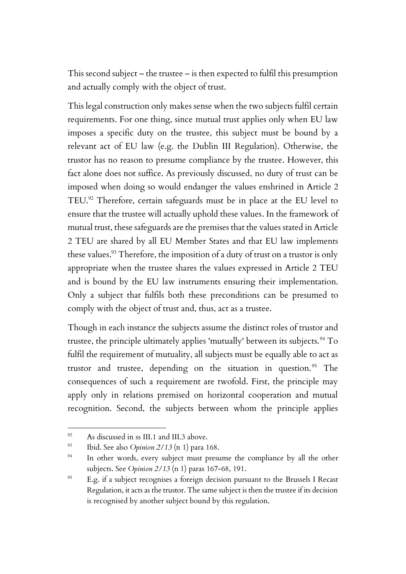This second subject – the trustee – is then expected to fulfil this presumption and actually comply with the object of trust.

This legal construction only makes sense when the two subjects fulfil certain requirements. For one thing, since mutual trust applies only when EU law imposes a specific duty on the trustee, this subject must be bound by a relevant act of EU law (e.g. the Dublin III Regulation). Otherwise, the trustor has no reason to presume compliance by the trustee. However, this fact alone does not suffice. As previously discussed, no duty of trust can be imposed when doing so would endanger the values enshrined in Article 2 TEU. <sup>92</sup> Therefore, certain safeguards must be in place at the EU level to ensure that the trustee will actually uphold these values. In the framework of mutual trust, these safeguards are the premises that the values stated in Article 2 TEU are shared by all EU Member States and that EU law implements these values. <sup>93</sup> Therefore, the imposition of a duty of trust on a trustor is only appropriate when the trustee shares the values expressed in Article 2 TEU and is bound by the EU law instruments ensuring their implementation. Only a subject that fulfils both these preconditions can be presumed to comply with the object of trust and, thus, act as a trustee.

Though in each instance the subjects assume the distinct roles of trustor and trustee, the principle ultimately applies 'mutually' between its subjects.<sup>94</sup> To fulfil the requirement of mutuality, all subjects must be equally able to act as trustor and trustee, depending on the situation in question. $95$  The consequences of such a requirement are twofold. First, the principle may apply only in relations premised on horizontal cooperation and mutual recognition. Second, the subjects between whom the principle applies

<sup>&</sup>lt;sup>92</sup> As discussed in ss III.1 and III.3 above.

<sup>93</sup> Ibid. See also *Opinion 2/13* (n 1) para 168.

<sup>&</sup>lt;sup>94</sup> In other words, every subject must presume the compliance by all the other subjects. See *Opinion 2/13* (n 1) paras 167-68, 191.

<sup>&</sup>lt;sup>95</sup> E.g. if a subject recognises a foreign decision pursuant to the Brussels I Recast Regulation, it acts as the trustor. The same subject is then the trustee if its decision is recognised by another subject bound by this regulation.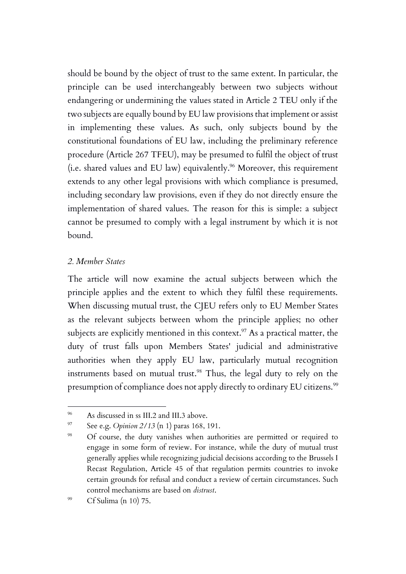should be bound by the object of trust to the same extent. In particular, the principle can be used interchangeably between two subjects without endangering or undermining the values stated in Article 2 TEU only if the two subjects are equally bound by EU law provisions that implement or assist in implementing these values. As such, only subjects bound by the constitutional foundations of EU law, including the preliminary reference procedure (Article 267 TFEU), may be presumed to fulfil the object of trust (i.e. shared values and EU law) equivalently.<sup>96</sup> Moreover, this requirement extends to any other legal provisions with which compliance is presumed, including secondary law provisions, even if they do not directly ensure the implementation of shared values. The reason for this is simple: a subject cannot be presumed to comply with a legal instrument by which it is not bound.

#### *2. Member States*

The article will now examine the actual subjects between which the principle applies and the extent to which they fulfil these requirements. When discussing mutual trust, the CJEU refers only to EU Member States as the relevant subjects between whom the principle applies; no other subjects are explicitly mentioned in this context. $^{97}$  As a practical matter, the duty of trust falls upon Members States' judicial and administrative authorities when they apply EU law, particularly mutual recognition instruments based on mutual trust. <sup>98</sup> Thus, the legal duty to rely on the presumption of compliance does not apply directly to ordinary EU citizens.<sup>99</sup>

<sup>96</sup> As discussed in ss III.2 and III.3 above.

<sup>97</sup> See e.g. *Opinion 2/13* (n 1) paras 168, 191.

<sup>&</sup>lt;sup>98</sup> Of course, the duty vanishes when authorities are permitted or required to engage in some form of review. For instance, while the duty of mutual trust generally applies while recognizing judicial decisions according to the Brussels I Recast Regulation, Article 45 of that regulation permits countries to invoke certain grounds for refusal and conduct a review of certain circumstances. Such control mechanisms are based on *distrust*.

<sup>99</sup> Cf Sulima (n 10) 75.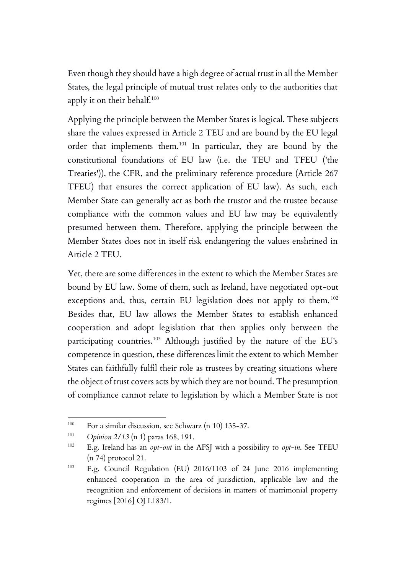Even though they should have a high degree of actual trust in all the Member States, the legal principle of mutual trust relates only to the authorities that apply it on their behalf.<sup>100</sup>

Applying the principle between the Member States is logical. These subjects share the values expressed in Article 2 TEU and are bound by the EU legal order that implements them.<sup>101</sup> In particular, they are bound by the constitutional foundations of EU law (i.e. the TEU and TFEU ('the Treaties')), the CFR, and the preliminary reference procedure (Article 267 TFEU) that ensures the correct application of EU law). As such, each Member State can generally act as both the trustor and the trustee because compliance with the common values and EU law may be equivalently presumed between them. Therefore, applying the principle between the Member States does not in itself risk endangering the values enshrined in Article 2 TEU.

Yet, there are some differences in the extent to which the Member States are bound by EU law. Some of them, such as Ireland, have negotiated opt-out exceptions and, thus, certain EU legislation does not apply to them.<sup>102</sup> Besides that, EU law allows the Member States to establish enhanced cooperation and adopt legislation that then applies only between the participating countries.<sup>103</sup> Although justified by the nature of the EU's competence in question, these differences limit the extent to which Member States can faithfully fulfil their role as trustees by creating situations where the object of trust covers acts by which they are not bound. The presumption of compliance cannot relate to legislation by which a Member State is not

<sup>100</sup> For a similar discussion, see Schwarz (n 10) 135-37.

<sup>101</sup> *Opinion 2/13* (n 1) paras 168, 191.

<sup>102</sup> E.g. Ireland has an *opt-out* in the AFSJ with a possibility to *opt-in*. See TFEU (n 74) protocol 21.

<sup>103</sup> E.g. Council Regulation (EU) 2016/1103 of 24 June 2016 implementing enhanced cooperation in the area of jurisdiction, applicable law and the recognition and enforcement of decisions in matters of matrimonial property regimes [2016] OJ L183/1.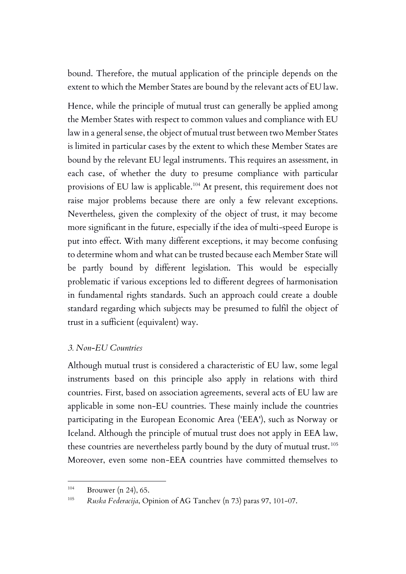bound. Therefore, the mutual application of the principle depends on the extent to which the Member States are bound by the relevant acts of EU law.

Hence, while the principle of mutual trust can generally be applied among the Member States with respect to common values and compliance with EU law in a general sense, the object of mutual trust between two Member States is limited in particular cases by the extent to which these Member States are bound by the relevant EU legal instruments. This requires an assessment, in each case, of whether the duty to presume compliance with particular provisions of EU law is applicable.<sup>104</sup> At present, this requirement does not raise major problems because there are only a few relevant exceptions. Nevertheless, given the complexity of the object of trust, it may become more significant in the future, especially if the idea of multi-speed Europe is put into effect. With many different exceptions, it may become confusing to determine whom and what can be trusted because each Member State will be partly bound by different legislation. This would be especially problematic if various exceptions led to different degrees of harmonisation in fundamental rights standards. Such an approach could create a double standard regarding which subjects may be presumed to fulfil the object of trust in a sufficient (equivalent) way.

#### *3. Non-EU Countries*

Although mutual trust is considered a characteristic of EU law, some legal instruments based on this principle also apply in relations with third countries. First, based on association agreements, several acts of EU law are applicable in some non-EU countries. These mainly include the countries participating in the European Economic Area ('EEA'), such as Norway or Iceland. Although the principle of mutual trust does not apply in EEA law, these countries are nevertheless partly bound by the duty of mutual trust. <sup>105</sup> Moreover, even some non-EEA countries have committed themselves to

<sup>104</sup> Brouwer (n 24), 65.

<sup>105</sup> *Ruska Federacija*, Opinion of AG Tanchev (n 73) paras 97, 101-07.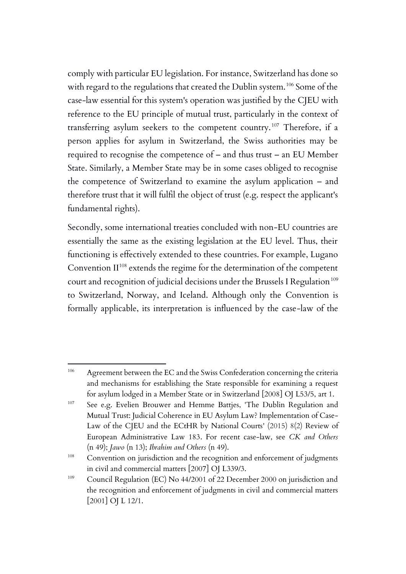comply with particular EU legislation. For instance, Switzerland has done so with regard to the regulations that created the Dublin system.<sup>106</sup> Some of the case-law essential for this system's operation was justified by the CJEU with reference to the EU principle of mutual trust, particularly in the context of transferring asylum seekers to the competent country.<sup>107</sup> Therefore, if a person applies for asylum in Switzerland, the Swiss authorities may be required to recognise the competence of – and thus trust – an EU Member State. Similarly, a Member State may be in some cases obliged to recognise the competence of Switzerland to examine the asylum application – and therefore trust that it will fulfil the object of trust (e.g. respect the applicant's fundamental rights).

Secondly, some international treaties concluded with non-EU countries are essentially the same as the existing legislation at the EU level. Thus, their functioning is effectively extended to these countries. For example, Lugano Convention  $II^{108}$  extends the regime for the determination of the competent court and recognition of judicial decisions under the Brussels I Regulation<sup>109</sup> to Switzerland, Norway, and Iceland. Although only the Convention is formally applicable, its interpretation is influenced by the case-law of the

<sup>&</sup>lt;sup>106</sup> Agreement between the EC and the Swiss Confederation concerning the criteria and mechanisms for establishing the State responsible for examining a request for asylum lodged in a Member State or in Switzerland [2008] OJ L53/5, art 1.

<sup>&</sup>lt;sup>107</sup> See e.g. Evelien Brouwer and Hemme Battjes, 'The Dublin Regulation and Mutual Trust: Judicial Coherence in EU Asylum Law? Implementation of Case-Law of the CJEU and the ECtHR by National Courts' (2015) 8(2) Review of European Administrative Law 183. For recent case-law, see *CK and Others*  (n 49); *Jawo* (n 13); *Ibrahim and Others* (n 49).

<sup>&</sup>lt;sup>108</sup> Convention on jurisdiction and the recognition and enforcement of judgments in civil and commercial matters [2007] OJ L339/3.

<sup>109</sup> Council Regulation (EC) No 44/2001 of 22 December 2000 on jurisdiction and the recognition and enforcement of judgments in civil and commercial matters [2001] OJ L 12/1.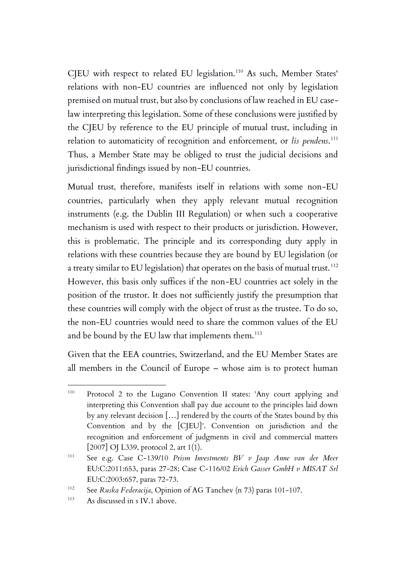CJEU with respect to related EU legislation.<sup>110</sup> As such, Member States' relations with non-EU countries are influenced not only by legislation premised on mutual trust, but also by conclusions of law reached in EU caselaw interpreting this legislation. Some of these conclusions were justified by the CJEU by reference to the EU principle of mutual trust, including in relation to automaticity of recognition and enforcement, or *lis pendens*. 111 Thus, a Member State may be obliged to trust the judicial decisions and jurisdictional findings issued by non-EU countries.

Mutual trust, therefore, manifests itself in relations with some non-EU countries, particularly when they apply relevant mutual recognition instruments (e.g. the Dublin III Regulation) or when such a cooperative mechanism is used with respect to their products or jurisdiction. However, this is problematic. The principle and its corresponding duty apply in relations with these countries because they are bound by EU legislation (or a treaty similar to EU legislation) that operates on the basis of mutual trust. <sup>112</sup> However, this basis only suffices if the non-EU countries act solely in the position of the trustor. It does not sufficiently justify the presumption that these countries will comply with the object of trust as the trustee. To do so, the non-EU countries would need to share the common values of the EU and be bound by the EU law that implements them.<sup>113</sup>

Given that the EEA countries, Switzerland, and the EU Member States are all members in the Council of Europe – whose aim is to protect human

<sup>110</sup> Protocol 2 to the Lugano Convention II states: 'Any court applying and interpreting this Convention shall pay due account to the principles laid down by any relevant decision […] rendered by the courts of the States bound by this Convention and by the [CJEU]'. Convention on jurisdiction and the recognition and enforcement of judgments in civil and commercial matters [2007] OJ L339, protocol 2, art 1(1).

<sup>111</sup> See e.g. Case C‑139/10 *Prism Investments BV v Jaap Anne van der Meer*  EU:C:2011:653, paras 27-28; Case C-116/02 *Erich Gasser GmbH v MISAT Srl*  EU:C:2003:657, paras 72-73.

<sup>112</sup> See *Ruska Federacija*, Opinion of AG Tanchev (n 73) paras 101-107.

<sup>113</sup> As discussed in s IV.1 above.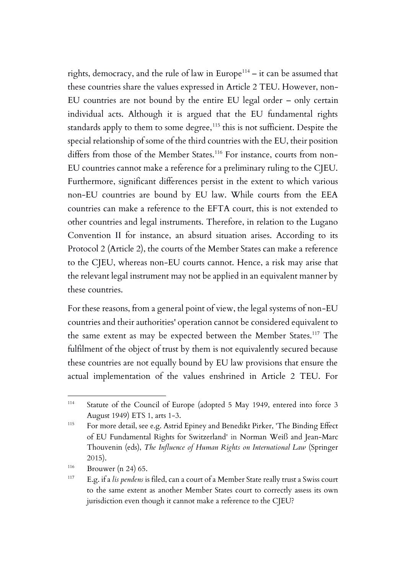rights, democracy, and the rule of law in Europe<sup>114</sup> – it can be assumed that these countries share the values expressed in Article 2 TEU. However, non-EU countries are not bound by the entire EU legal order – only certain individual acts. Although it is argued that the EU fundamental rights standards apply to them to some degree,<sup>115</sup> this is not sufficient. Despite the special relationship of some of the third countries with the EU, their position differs from those of the Member States.<sup>116</sup> For instance, courts from non-EU countries cannot make a reference for a preliminary ruling to the CJEU. Furthermore, significant differences persist in the extent to which various non-EU countries are bound by EU law. While courts from the EEA countries can make a reference to the EFTA court, this is not extended to other countries and legal instruments. Therefore, in relation to the Lugano Convention II for instance, an absurd situation arises. According to its Protocol 2 (Article 2), the courts of the Member States can make a reference to the CJEU, whereas non-EU courts cannot. Hence, a risk may arise that the relevant legal instrument may not be applied in an equivalent manner by these countries.

For these reasons, from a general point of view, the legal systems of non-EU countries and their authorities' operation cannot be considered equivalent to the same extent as may be expected between the Member States.<sup>117</sup> The fulfilment of the object of trust by them is not equivalently secured because these countries are not equally bound by EU law provisions that ensure the actual implementation of the values enshrined in Article 2 TEU. For

<sup>114</sup> Statute of the Council of Europe (adopted 5 May 1949, entered into force 3 August 1949) ETS 1, arts 1-3.

<sup>115</sup> For more detail, see e.g. Astrid Epiney and Benedikt Pirker, 'The Binding Effect of EU Fundamental Rights for Switzerland' in Norman Weiß and Jean-Marc Thouvenin (eds), *The Influence of Human Rights on International Law* (Springer 2015).

 $116$  Brouwer (n 24) 65.

<sup>117</sup> E.g. if a *lis pendens* is filed, can a court of a Member State really trust a Swiss court to the same extent as another Member States court to correctly assess its own jurisdiction even though it cannot make a reference to the CJEU?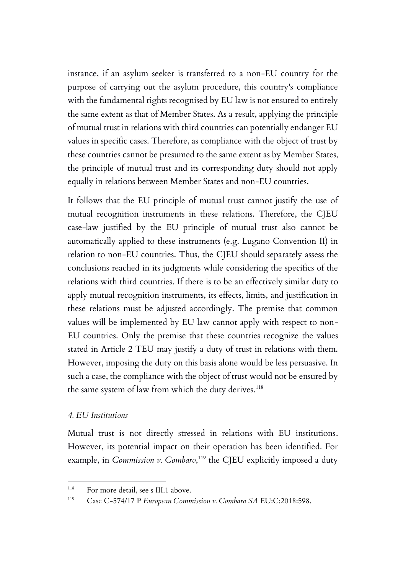instance, if an asylum seeker is transferred to a non-EU country for the purpose of carrying out the asylum procedure, this country's compliance with the fundamental rights recognised by EU law is not ensured to entirely the same extent as that of Member States. As a result, applying the principle of mutual trust in relations with third countries can potentially endanger EU values in specific cases. Therefore, as compliance with the object of trust by these countries cannot be presumed to the same extent as by Member States, the principle of mutual trust and its corresponding duty should not apply equally in relations between Member States and non-EU countries.

It follows that the EU principle of mutual trust cannot justify the use of mutual recognition instruments in these relations. Therefore, the CJEU case-law justified by the EU principle of mutual trust also cannot be automatically applied to these instruments (e.g. Lugano Convention II) in relation to non-EU countries. Thus, the CJEU should separately assess the conclusions reached in its judgments while considering the specifics of the relations with third countries. If there is to be an effectively similar duty to apply mutual recognition instruments, its effects, limits, and justification in these relations must be adjusted accordingly. The premise that common values will be implemented by EU law cannot apply with respect to non-EU countries. Only the premise that these countries recognize the values stated in Article 2 TEU may justify a duty of trust in relations with them. However, imposing the duty on this basis alone would be less persuasive. In such a case, the compliance with the object of trust would not be ensured by the same system of law from which the duty derives. $^{\rm 118}$ 

#### *4. EU Institutions*

Mutual trust is not directly stressed in relations with EU institutions. However, its potential impact on their operation has been identified. For example, in *Commission v. Combaro*,<sup>119</sup> the CJEU explicitly imposed a duty

<sup>&</sup>lt;sup>118</sup> For more detail, see s III.1 above.

<sup>119</sup> Case C-574/17 P *European Commission v. Combaro SA* EU:C:2018:598.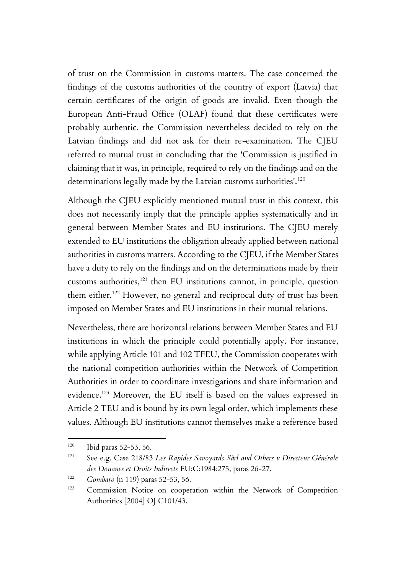of trust on the Commission in customs matters. The case concerned the findings of the customs authorities of the country of export (Latvia) that certain certificates of the origin of goods are invalid. Even though the European Anti-Fraud Office (OLAF) found that these certificates were probably authentic, the Commission nevertheless decided to rely on the Latvian findings and did not ask for their re-examination. The CJEU referred to mutual trust in concluding that the 'Commission is justified in claiming that it was, in principle, required to rely on the findings and on the determinations legally made by the Latvian customs authorities'.<sup>120</sup>

Although the CJEU explicitly mentioned mutual trust in this context, this does not necessarily imply that the principle applies systematically and in general between Member States and EU institutions. The CJEU merely extended to EU institutions the obligation already applied between national authorities in customs matters. According to the CJEU, if the Member States have a duty to rely on the findings and on the determinations made by their customs authorities,<sup>121</sup> then EU institutions cannot, in principle, question them either. <sup>122</sup> However, no general and reciprocal duty of trust has been imposed on Member States and EU institutions in their mutual relations.

Nevertheless, there are horizontal relations between Member States and EU institutions in which the principle could potentially apply. For instance, while applying Article 101 and 102 TFEU, the Commission cooperates with the national competition authorities within the Network of Competition Authorities in order to coordinate investigations and share information and evidence.<sup>123</sup> Moreover, the EU itself is based on the values expressed in Article 2 TEU and is bound by its own legal order, which implements these values. Although EU institutions cannot themselves make a reference based

 $120$  Ibid paras 52-53, 56.

<sup>&</sup>lt;sup>121</sup> See e.g. Case 218/83 Les Rapides Savoyards Sàrl and Others v Directeur Générale *des Douanes et Droits Indirects* EU:C:1984:275, paras 26-27.

<sup>122</sup> *Combaro* (n 119) paras 52-53, 56.

<sup>123</sup> Commission Notice on cooperation within the Network of Competition Authorities [2004] OJ C101/43.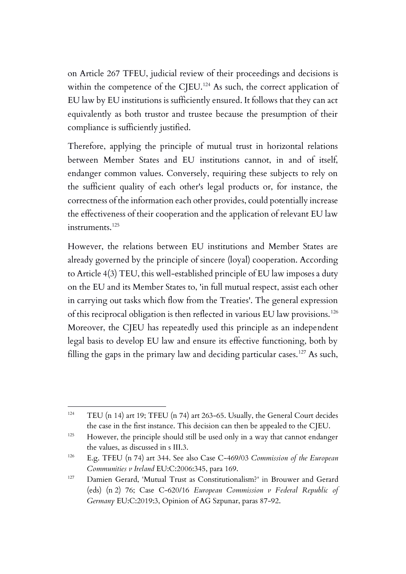on Article 267 TFEU, judicial review of their proceedings and decisions is within the competence of the CJEU.<sup>124</sup> As such, the correct application of EU law by EU institutions is sufficiently ensured. It follows that they can act equivalently as both trustor and trustee because the presumption of their compliance is sufficiently justified.

Therefore, applying the principle of mutual trust in horizontal relations between Member States and EU institutions cannot, in and of itself, endanger common values. Conversely, requiring these subjects to rely on the sufficient quality of each other's legal products or, for instance, the correctness of the information each other provides, could potentially increase the effectiveness of their cooperation and the application of relevant EU law instruments.<sup>125</sup>

However, the relations between EU institutions and Member States are already governed by the principle of sincere (loyal) cooperation. According to Article 4(3) TEU, this well-established principle of EU law imposes a duty on the EU and its Member States to, 'in full mutual respect, assist each other in carrying out tasks which flow from the Treaties'. The general expression of this reciprocal obligation is then reflected in various EU law provisions.<sup>126</sup> Moreover, the CJEU has repeatedly used this principle as an independent legal basis to develop EU law and ensure its effective functioning, both by filling the gaps in the primary law and deciding particular cases.<sup>127</sup> As such,

<sup>124</sup> TEU (n 14) art 19; TFEU (n 74) art 263-65. Usually, the General Court decides the case in the first instance. This decision can then be appealed to the CJEU.

<sup>&</sup>lt;sup>125</sup> However, the principle should still be used only in a way that cannot endanger the values, as discussed in s III.3.

<sup>126</sup> E.g. TFEU (n 74) art 344. See also Case C-469/03 *Commission of the European Communities v Ireland* EU:C:2006:345, para 169.

<sup>127</sup> Damien Gerard, 'Mutual Trust as Constitutionalism?' in Brouwer and Gerard (eds) (n 2) 76; Case C-620/16 *European Commission v Federal Republic of Germany* EU:C:2019:3, Opinion of AG Szpunar, paras 87-92.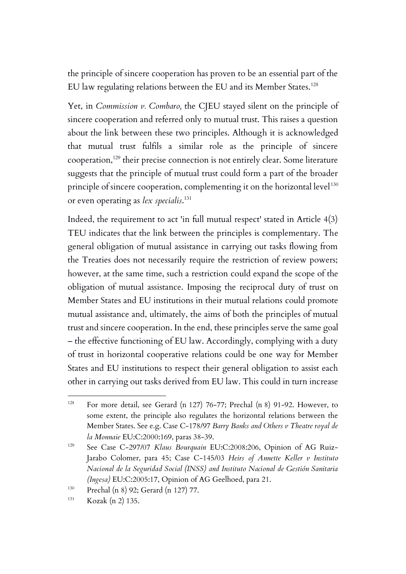the principle of sincere cooperation has proven to be an essential part of the EU law regulating relations between the EU and its Member States.<sup>128</sup>

Yet, in *Commission v. Combaro,* the CJEU stayed silent on the principle of sincere cooperation and referred only to mutual trust. This raises a question about the link between these two principles. Although it is acknowledged that mutual trust fulfils a similar role as the principle of sincere cooperation,<sup>129</sup> their precise connection is not entirely clear. Some literature suggests that the principle of mutual trust could form a part of the broader principle of sincere cooperation, complementing it on the horizontal level<sup>130</sup> or even operating as *lex specialis*. 131

Indeed, the requirement to act 'in full mutual respect' stated in Article 4(3) TEU indicates that the link between the principles is complementary. The general obligation of mutual assistance in carrying out tasks flowing from the Treaties does not necessarily require the restriction of review powers; however, at the same time, such a restriction could expand the scope of the obligation of mutual assistance. Imposing the reciprocal duty of trust on Member States and EU institutions in their mutual relations could promote mutual assistance and, ultimately, the aims of both the principles of mutual trust and sincere cooperation. In the end, these principles serve the same goal – the effective functioning of EU law. Accordingly, complying with a duty of trust in horizontal cooperative relations could be one way for Member States and EU institutions to respect their general obligation to assist each other in carrying out tasks derived from EU law. This could in turn increase

<sup>128</sup> For more detail, see Gerard (n 127) 76-77; Prechal (n 8) 91-92. However, to some extent, the principle also regulates the horizontal relations between the Member States. See e.g. Case C-178/97 *Barry Banks and Others v Theatre royal de la Monnaie* EU:C:2000:169, paras 38-39.

<sup>&</sup>lt;sup>129</sup> See Case C-297/07 *Klaus Bourquain* EU:C:2008:206, Opinion of AG Ruiz-Jarabo Colomer, para 45; Case C-145/03 *Heirs of Annette Keller v Instituto Nacional de la Seguridad Social (INSS) and Instituto Nacional de Gestión Sanitaria (Ingesa)* EU:C:2005:17, Opinion of AG Geelhoed, para 21.

<sup>130</sup> Prechal (n 8) 92; Gerard (n 127) 77.

<sup>131</sup> Kozak (n 2) 135.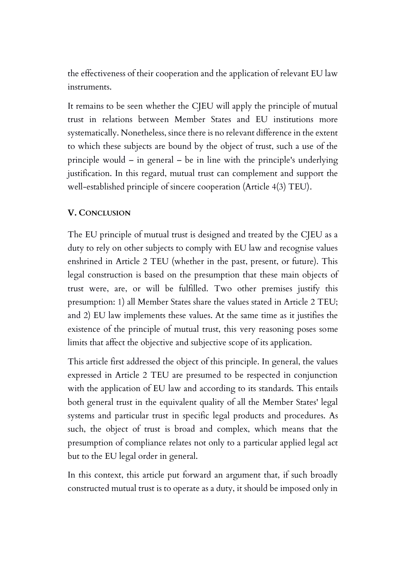the effectiveness of their cooperation and the application of relevant EU law instruments.

It remains to be seen whether the CJEU will apply the principle of mutual trust in relations between Member States and EU institutions more systematically. Nonetheless, since there is no relevant difference in the extent to which these subjects are bound by the object of trust, such a use of the principle would – in general – be in line with the principle's underlying justification. In this regard, mutual trust can complement and support the well-established principle of sincere cooperation (Article 4(3) TEU).

## **V. CONCLUSION**

The EU principle of mutual trust is designed and treated by the CJEU as a duty to rely on other subjects to comply with EU law and recognise values enshrined in Article 2 TEU (whether in the past, present, or future). This legal construction is based on the presumption that these main objects of trust were, are, or will be fulfilled. Two other premises justify this presumption: 1) all Member States share the values stated in Article 2 TEU; and 2) EU law implements these values. At the same time as it justifies the existence of the principle of mutual trust, this very reasoning poses some limits that affect the objective and subjective scope of its application.

This article first addressed the object of this principle. In general, the values expressed in Article 2 TEU are presumed to be respected in conjunction with the application of EU law and according to its standards. This entails both general trust in the equivalent quality of all the Member States' legal systems and particular trust in specific legal products and procedures. As such, the object of trust is broad and complex, which means that the presumption of compliance relates not only to a particular applied legal act but to the EU legal order in general.

In this context, this article put forward an argument that, if such broadly constructed mutual trust is to operate as a duty, it should be imposed only in